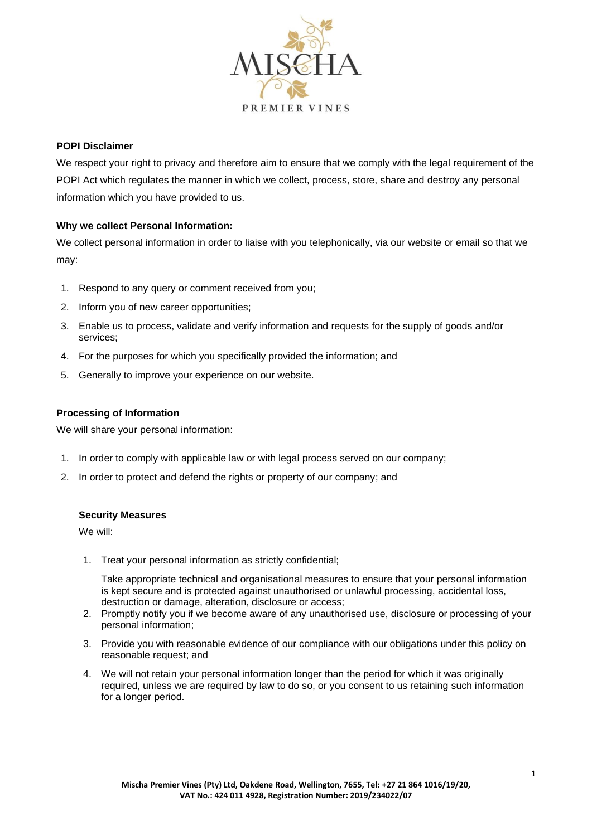

#### **POPI Disclaimer**

We respect your right to privacy and therefore aim to ensure that we comply with the legal requirement of the POPI Act which regulates the manner in which we collect, process, store, share and destroy any personal information which you have provided to us.

## **Why we collect Personal Information:**

We collect personal information in order to liaise with you telephonically, via our website or email so that we may:

- 1. Respond to any query or comment received from you;
- 2. Inform you of new career opportunities;
- 3. Enable us to process, validate and verify information and requests for the supply of goods and/or services;
- 4. For the purposes for which you specifically provided the information; and
- 5. Generally to improve your experience on our website.

## **Processing of Information**

We will share your personal information:

- 1. In order to comply with applicable law or with legal process served on our company;
- 2. In order to protect and defend the rights or property of our company; and

#### **Security Measures**

We will:

1. Treat your personal information as strictly confidential;

Take appropriate technical and organisational measures to ensure that your personal information is kept secure and is protected against unauthorised or unlawful processing, accidental loss, destruction or damage, alteration, disclosure or access;

- 2. Promptly notify you if we become aware of any unauthorised use, disclosure or processing of your personal information;
- 3. Provide you with reasonable evidence of our compliance with our obligations under this policy on reasonable request; and
- 4. We will not retain your personal information longer than the period for which it was originally required, unless we are required by law to do so, or you consent to us retaining such information for a longer period.